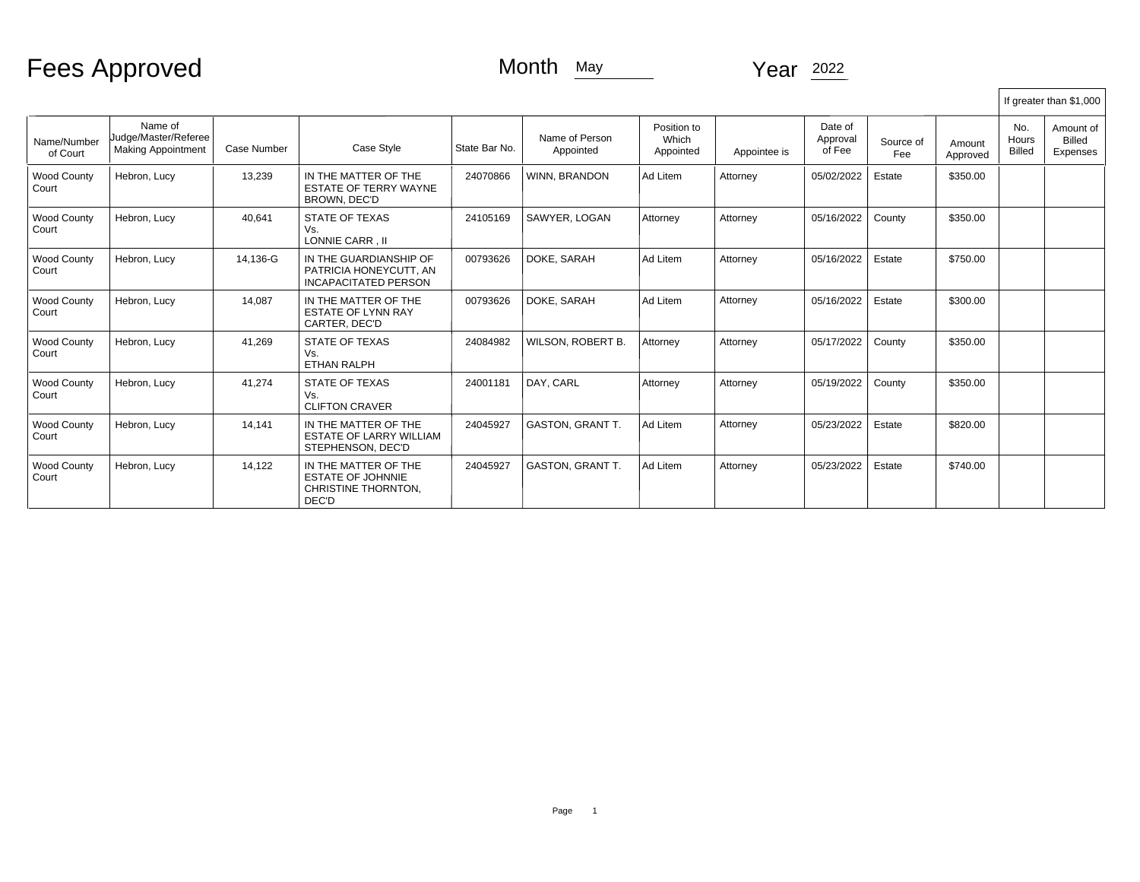## Fees Approved

## Month May Year 2022

|                             |                                                              |             |                                                                                  |               |                             |                                   |              |                               |                  |                    |                               | If greater than \$1,000         |
|-----------------------------|--------------------------------------------------------------|-------------|----------------------------------------------------------------------------------|---------------|-----------------------------|-----------------------------------|--------------|-------------------------------|------------------|--------------------|-------------------------------|---------------------------------|
| Name/Number<br>of Court     | Name of<br>Uudge/Master/Referee<br><b>Making Appointment</b> | Case Number | Case Style                                                                       | State Bar No. | Name of Person<br>Appointed | Position to<br>Which<br>Appointed | Appointee is | Date of<br>Approval<br>of Fee | Source of<br>Fee | Amount<br>Approved | No.<br>Hours<br><b>Billed</b> | Amount of<br>Billed<br>Expenses |
| <b>Wood County</b><br>Court | Hebron, Lucy                                                 | 13,239      | IN THE MATTER OF THE<br><b>ESTATE OF TERRY WAYNE</b><br><b>BROWN, DEC'D</b>      | 24070866      | <b>WINN, BRANDON</b>        | Ad Litem                          | Attorney     | 05/02/2022                    | Estate           | \$350.00           |                               |                                 |
| <b>Wood County</b><br>Court | Hebron, Lucy                                                 | 40,641      | <b>STATE OF TEXAS</b><br>Vs.<br>LONNIE CARR . II                                 | 24105169      | SAWYER, LOGAN               | Attorney                          | Attorney     | 05/16/2022                    | County           | \$350.00           |                               |                                 |
| <b>Wood County</b><br>Court | Hebron, Lucy                                                 | 14,136-G    | IN THE GUARDIANSHIP OF<br>PATRICIA HONEYCUTT, AN<br><b>INCAPACITATED PERSON</b>  | 00793626      | DOKE, SARAH                 | Ad Litem                          | Attorney     | 05/16/2022                    | Estate           | \$750.00           |                               |                                 |
| <b>Wood County</b><br>Court | Hebron, Lucy                                                 | 14,087      | IN THE MATTER OF THE<br><b>ESTATE OF LYNN RAY</b><br>CARTER, DEC'D               | 00793626      | DOKE, SARAH                 | Ad Litem                          | Attorney     | 05/16/2022                    | Estate           | \$300.00           |                               |                                 |
| <b>Wood County</b><br>Court | Hebron, Lucy                                                 | 41.269      | <b>STATE OF TEXAS</b><br>Vs.<br><b>ETHAN RALPH</b>                               | 24084982      | WILSON, ROBERT B.           | Attorney                          | Attorney     | 05/17/2022                    | County           | \$350.00           |                               |                                 |
| <b>Wood County</b><br>Court | Hebron, Lucy                                                 | 41,274      | <b>STATE OF TEXAS</b><br>Vs.<br><b>CLIFTON CRAVER</b>                            | 24001181      | DAY. CARL                   | Attorney                          | Attorney     | 05/19/2022                    | County           | \$350.00           |                               |                                 |
| <b>Wood County</b><br>Court | Hebron, Lucy                                                 | 14.141      | IN THE MATTER OF THE<br><b>ESTATE OF LARRY WILLIAM</b><br>STEPHENSON, DEC'D      | 24045927      | <b>GASTON, GRANT T.</b>     | Ad Litem                          | Attorney     | 05/23/2022                    | Estate           | \$820.00           |                               |                                 |
| <b>Wood County</b><br>Court | Hebron, Lucy                                                 | 14.122      | IN THE MATTER OF THE<br><b>ESTATE OF JOHNNIE</b><br>CHRISTINE THORNTON,<br>DEC'D | 24045927      | <b>GASTON, GRANT T.</b>     | Ad Litem                          | Attorney     | 05/23/2022                    | Estate           | \$740.00           |                               |                                 |